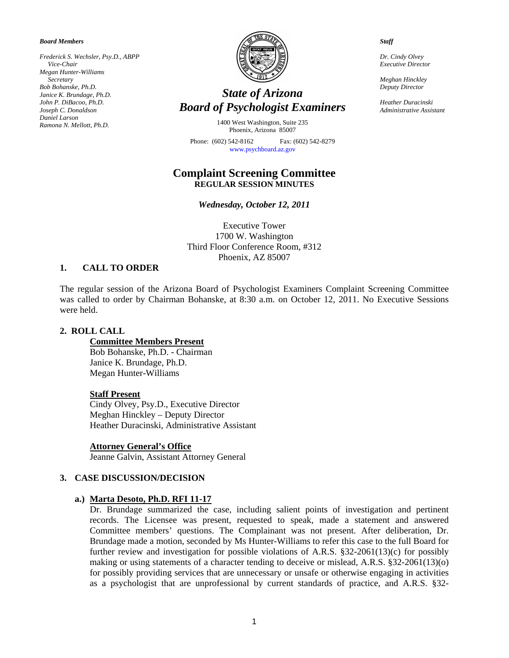*Board Members* 

*Frederick S. Wechsler, Psy.D., ABPP Vice-Chair Megan Hunter-Williams Secretary Bob Bohanske, Ph.D. Janice K. Brundage, Ph.D. John P. DiBacoo, Ph.D. Joseph C. Donaldson Daniel Larson Ramona N. Mellott, Ph.D.* 



# *State of Arizona Board of Psychologist Examiners*

1400 West Washington, Suite 235 Phoenix, Arizona 85007

Phone: (602) 542-8162 Fax: (602) 542-8279 [www.psychboard.az.gov](http://www.psychboard.az.gov/) 

## **Complaint Screening Committee REGULAR SESSION MINUTES**

*Wednesday, October 12, 2011* 

Executive Tower 1700 W. Washington Third Floor Conference Room, #312 Phoenix, AZ 85007

#### **1. CALL TO ORDER**

The regular session of the Arizona Board of Psychologist Examiners Complaint Screening Committee was called to order by Chairman Bohanske, at 8:30 a.m. on October 12, 2011. No Executive Sessions were held.

#### **2. ROLL CALL**

**Committee Members Present**  Bob Bohanske, Ph.D. - Chairman Janice K. Brundage, Ph.D. Megan Hunter-Williams

#### **Staff Present**

Cindy Olvey, Psy.D., Executive Director Meghan Hinckley – Deputy Director Heather Duracinski, Administrative Assistant

**Attorney General's Office**

Jeanne Galvin, Assistant Attorney General

#### **3. CASE DISCUSSION/DECISION**

#### **a.) Marta Desoto, Ph.D. RFI 11-17**

Dr. Brundage summarized the case, including salient points of investigation and pertinent records. The Licensee was present, requested to speak, made a statement and answered Committee members' questions. The Complainant was not present. After deliberation, Dr. Brundage made a motion, seconded by Ms Hunter-Williams to refer this case to the full Board for further review and investigation for possible violations of A.R.S. §32-2061(13)(c) for possibly making or using statements of a character tending to deceive or mislead, A.R.S. §32-2061(13)(o) for possibly providing services that are unnecessary or unsafe or otherwise engaging in activities as a psychologist that are unprofessional by current standards of practice, and A.R.S. §32-

*Staff* 

*Dr. Cindy Olvey Executive Director* 

*Meghan Hinckley Deputy Director* 

*Heather Duracinski Administrative Assistant*